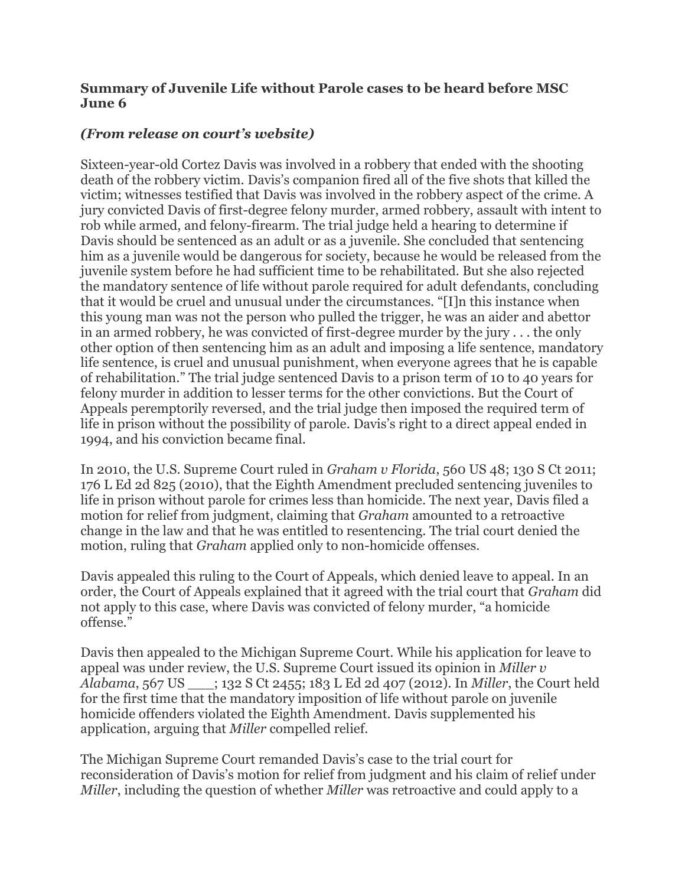## **Summary of Juvenile Life without Parole cases to be heard before MSC June 6**

## *(From release on court's website)*

Sixteen-year-old Cortez Davis was involved in a robbery that ended with the shooting death of the robbery victim. Davis's companion fired all of the five shots that killed the victim; witnesses testified that Davis was involved in the robbery aspect of the crime. A jury convicted Davis of first-degree felony murder, armed robbery, assault with intent to rob while armed, and felony-firearm. The trial judge held a hearing to determine if Davis should be sentenced as an adult or as a juvenile. She concluded that sentencing him as a juvenile would be dangerous for society, because he would be released from the juvenile system before he had sufficient time to be rehabilitated. But she also rejected the mandatory sentence of life without parole required for adult defendants, concluding that it would be cruel and unusual under the circumstances. "[I]n this instance when this young man was not the person who pulled the trigger, he was an aider and abettor in an armed robbery, he was convicted of first-degree murder by the jury . . . the only other option of then sentencing him as an adult and imposing a life sentence, mandatory life sentence, is cruel and unusual punishment, when everyone agrees that he is capable of rehabilitation." The trial judge sentenced Davis to a prison term of 10 to 40 years for felony murder in addition to lesser terms for the other convictions. But the Court of Appeals peremptorily reversed, and the trial judge then imposed the required term of life in prison without the possibility of parole. Davis's right to a direct appeal ended in 1994, and his conviction became final.

In 2010, the U.S. Supreme Court ruled in *Graham v Florida*, 560 US 48; 130 S Ct 2011; 176 L Ed 2d 825 (2010), that the Eighth Amendment precluded sentencing juveniles to life in prison without parole for crimes less than homicide. The next year, Davis filed a motion for relief from judgment, claiming that *Graham* amounted to a retroactive change in the law and that he was entitled to resentencing. The trial court denied the motion, ruling that *Graham* applied only to non-homicide offenses.

Davis appealed this ruling to the Court of Appeals, which denied leave to appeal. In an order, the Court of Appeals explained that it agreed with the trial court that *Graham* did not apply to this case, where Davis was convicted of felony murder, "a homicide offense."

Davis then appealed to the Michigan Supreme Court. While his application for leave to appeal was under review, the U.S. Supreme Court issued its opinion in *Miller v Alabama*, 567 US \_\_\_; 132 S Ct 2455; 183 L Ed 2d 407 (2012). In *Miller*, the Court held for the first time that the mandatory imposition of life without parole on juvenile homicide offenders violated the Eighth Amendment. Davis supplemented his application, arguing that *Miller* compelled relief.

The Michigan Supreme Court remanded Davis's case to the trial court for reconsideration of Davis's motion for relief from judgment and his claim of relief under *Miller*, including the question of whether *Miller* was retroactive and could apply to a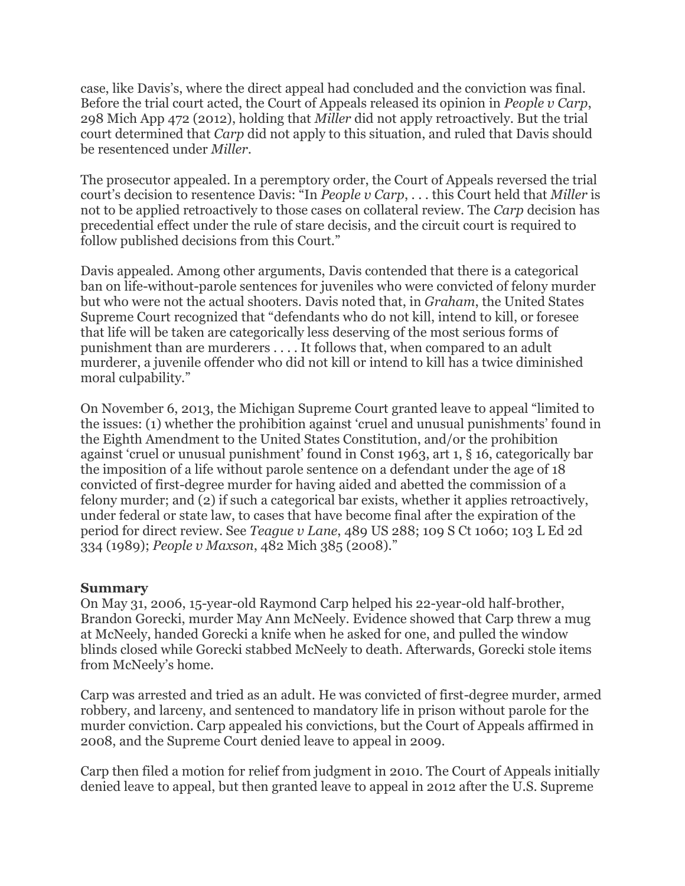case, like Davis's, where the direct appeal had concluded and the conviction was final. Before the trial court acted, the Court of Appeals released its opinion in *People v Carp*, 298 Mich App 472 (2012), holding that *Miller* did not apply retroactively. But the trial court determined that *Carp* did not apply to this situation, and ruled that Davis should be resentenced under *Miller*.

The prosecutor appealed. In a peremptory order, the Court of Appeals reversed the trial court's decision to resentence Davis: "In *People v Carp*, . . . this Court held that *Miller* is not to be applied retroactively to those cases on collateral review. The *Carp* decision has precedential effect under the rule of stare decisis, and the circuit court is required to follow published decisions from this Court."

Davis appealed. Among other arguments, Davis contended that there is a categorical ban on life-without-parole sentences for juveniles who were convicted of felony murder but who were not the actual shooters. Davis noted that, in *Graham*, the United States Supreme Court recognized that "defendants who do not kill, intend to kill, or foresee that life will be taken are categorically less deserving of the most serious forms of punishment than are murderers . . . . It follows that, when compared to an adult murderer, a juvenile offender who did not kill or intend to kill has a twice diminished moral culpability."

On November 6, 2013, the Michigan Supreme Court granted leave to appeal "limited to the issues: (1) whether the prohibition against 'cruel and unusual punishments' found in the Eighth Amendment to the United States Constitution, and/or the prohibition against 'cruel or unusual punishment' found in Const 1963, art 1, § 16, categorically bar the imposition of a life without parole sentence on a defendant under the age of 18 convicted of first-degree murder for having aided and abetted the commission of a felony murder; and (2) if such a categorical bar exists, whether it applies retroactively, under federal or state law, to cases that have become final after the expiration of the period for direct review. See *Teague v Lane*, 489 US 288; 109 S Ct 1060; 103 L Ed 2d 334 (1989); *People v Maxson*, 482 Mich 385 (2008)."

## **Summary**

On May 31, 2006, 15-year-old Raymond Carp helped his 22-year-old half-brother, Brandon Gorecki, murder May Ann McNeely. Evidence showed that Carp threw a mug at McNeely, handed Gorecki a knife when he asked for one, and pulled the window blinds closed while Gorecki stabbed McNeely to death. Afterwards, Gorecki stole items from McNeely's home.

Carp was arrested and tried as an adult. He was convicted of first-degree murder, armed robbery, and larceny, and sentenced to mandatory life in prison without parole for the murder conviction. Carp appealed his convictions, but the Court of Appeals affirmed in 2008, and the Supreme Court denied leave to appeal in 2009.

Carp then filed a motion for relief from judgment in 2010. The Court of Appeals initially denied leave to appeal, but then granted leave to appeal in 2012 after the U.S. Supreme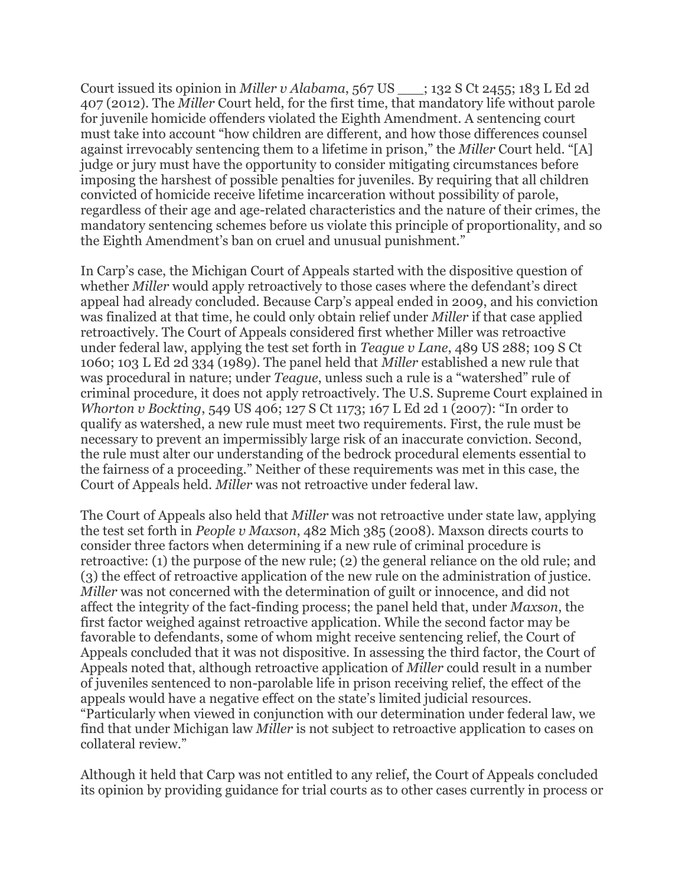Court issued its opinion in *Miller v Alabama*, 567 US \_\_\_; 132 S Ct 2455; 183 L Ed 2d 407 (2012). The *Miller* Court held, for the first time, that mandatory life without parole for juvenile homicide offenders violated the Eighth Amendment. A sentencing court must take into account "how children are different, and how those differences counsel against irrevocably sentencing them to a lifetime in prison," the *Miller* Court held. "[A] judge or jury must have the opportunity to consider mitigating circumstances before imposing the harshest of possible penalties for juveniles. By requiring that all children convicted of homicide receive lifetime incarceration without possibility of parole, regardless of their age and age-related characteristics and the nature of their crimes, the mandatory sentencing schemes before us violate this principle of proportionality, and so the Eighth Amendment's ban on cruel and unusual punishment."

In Carp's case, the Michigan Court of Appeals started with the dispositive question of whether *Miller* would apply retroactively to those cases where the defendant's direct appeal had already concluded. Because Carp's appeal ended in 2009, and his conviction was finalized at that time, he could only obtain relief under *Miller* if that case applied retroactively. The Court of Appeals considered first whether Miller was retroactive under federal law, applying the test set forth in *Teague v Lane*, 489 US 288; 109 S Ct 1060; 103 L Ed 2d 334 (1989). The panel held that *Miller* established a new rule that was procedural in nature; under *Teague*, unless such a rule is a "watershed" rule of criminal procedure, it does not apply retroactively. The U.S. Supreme Court explained in *Whorton v Bockting*, 549 US 406; 127 S Ct 1173; 167 L Ed 2d 1 (2007): "In order to qualify as watershed, a new rule must meet two requirements. First, the rule must be necessary to prevent an impermissibly large risk of an inaccurate conviction. Second, the rule must alter our understanding of the bedrock procedural elements essential to the fairness of a proceeding." Neither of these requirements was met in this case, the Court of Appeals held. *Miller* was not retroactive under federal law.

The Court of Appeals also held that *Miller* was not retroactive under state law, applying the test set forth in *People v Maxson*, 482 Mich 385 (2008). Maxson directs courts to consider three factors when determining if a new rule of criminal procedure is retroactive: (1) the purpose of the new rule; (2) the general reliance on the old rule; and (3) the effect of retroactive application of the new rule on the administration of justice. *Miller* was not concerned with the determination of guilt or innocence, and did not affect the integrity of the fact-finding process; the panel held that, under *Maxson*, the first factor weighed against retroactive application. While the second factor may be favorable to defendants, some of whom might receive sentencing relief, the Court of Appeals concluded that it was not dispositive. In assessing the third factor, the Court of Appeals noted that, although retroactive application of *Miller* could result in a number of juveniles sentenced to non-parolable life in prison receiving relief, the effect of the appeals would have a negative effect on the state's limited judicial resources. "Particularly when viewed in conjunction with our determination under federal law, we find that under Michigan law *Miller* is not subject to retroactive application to cases on collateral review."

Although it held that Carp was not entitled to any relief, the Court of Appeals concluded its opinion by providing guidance for trial courts as to other cases currently in process or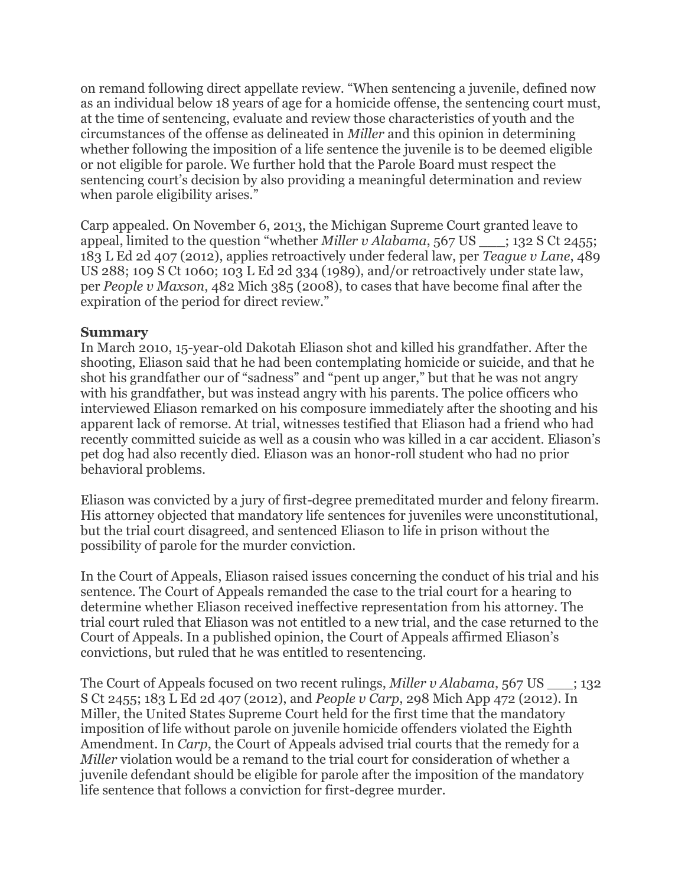on remand following direct appellate review. "When sentencing a juvenile, defined now as an individual below 18 years of age for a homicide offense, the sentencing court must, at the time of sentencing, evaluate and review those characteristics of youth and the circumstances of the offense as delineated in *Miller* and this opinion in determining whether following the imposition of a life sentence the juvenile is to be deemed eligible or not eligible for parole. We further hold that the Parole Board must respect the sentencing court's decision by also providing a meaningful determination and review when parole eligibility arises."

Carp appealed. On November 6, 2013, the Michigan Supreme Court granted leave to appeal, limited to the question "whether *Miller v Alabama*, 567 US \_\_\_; 132 S Ct 2455; 183 L Ed 2d 407 (2012), applies retroactively under federal law, per *Teague v Lane*, 489 US 288; 109 S Ct 1060; 103 L Ed 2d 334 (1989), and/or retroactively under state law, per *People v Maxson*, 482 Mich 385 (2008), to cases that have become final after the expiration of the period for direct review."

## **Summary**

In March 2010, 15-year-old Dakotah Eliason shot and killed his grandfather. After the shooting, Eliason said that he had been contemplating homicide or suicide, and that he shot his grandfather our of "sadness" and "pent up anger," but that he was not angry with his grandfather, but was instead angry with his parents. The police officers who interviewed Eliason remarked on his composure immediately after the shooting and his apparent lack of remorse. At trial, witnesses testified that Eliason had a friend who had recently committed suicide as well as a cousin who was killed in a car accident. Eliason's pet dog had also recently died. Eliason was an honor-roll student who had no prior behavioral problems.

Eliason was convicted by a jury of first-degree premeditated murder and felony firearm. His attorney objected that mandatory life sentences for juveniles were unconstitutional, but the trial court disagreed, and sentenced Eliason to life in prison without the possibility of parole for the murder conviction.

In the Court of Appeals, Eliason raised issues concerning the conduct of his trial and his sentence. The Court of Appeals remanded the case to the trial court for a hearing to determine whether Eliason received ineffective representation from his attorney. The trial court ruled that Eliason was not entitled to a new trial, and the case returned to the Court of Appeals. In a published opinion, the Court of Appeals affirmed Eliason's convictions, but ruled that he was entitled to resentencing.

The Court of Appeals focused on two recent rulings, *Miller v Alabama*, 567 US : 132 S Ct 2455; 183 L Ed 2d 407 (2012), and *People v Carp*, 298 Mich App 472 (2012). In Miller, the United States Supreme Court held for the first time that the mandatory imposition of life without parole on juvenile homicide offenders violated the Eighth Amendment. In *Carp*, the Court of Appeals advised trial courts that the remedy for a *Miller* violation would be a remand to the trial court for consideration of whether a juvenile defendant should be eligible for parole after the imposition of the mandatory life sentence that follows a conviction for first-degree murder.